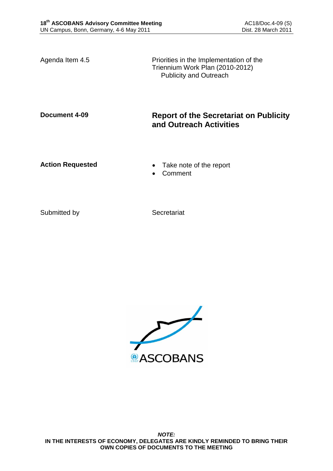Agenda Item 4.5 Priorities in the Implementation of the Triennium Work Plan (2010-2012) Publicity and Outreach

# **Document 4-09 Report of the Secretariat on Publicity and Outreach Activities**

- Action Requested **Calculated Calculated Take note of the report** 
	- Comment

Submitted by Secretariat

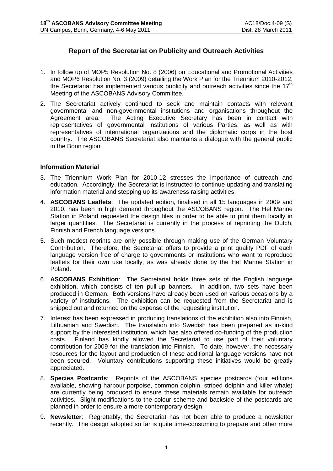## **Report of the Secretariat on Publicity and Outreach Activities**

- 1. In follow up of MOP5 Resolution No. 8 (2006) on Educational and Promotional Activities and MOP6 Resolution No. 3 (2009) detailing the Work Plan for the Triennium 2010-2012, the Secretariat has implemented various publicity and outreach activities since the  $17<sup>th</sup>$ Meeting of the ASCOBANS Advisory Committee.
- 2. The Secretariat actively continued to seek and maintain contacts with relevant governmental and non-governmental institutions and organisations throughout the Agreement area. The Acting Executive Secretary has been in contact with representatives of governmental institutions of various Parties, as well as with representatives of international organizations and the diplomatic corps in the host country. The ASCOBANS Secretariat also maintains a dialogue with the general public in the Bonn region.

#### **Information Material**

- 3. The Triennium Work Plan for 2010-12 stresses the importance of outreach and education. Accordingly, the Secretariat is instructed to continue updating and translating information material and stepping up its awareness raising activities.
- 4. **ASCOBANS Leaflets**: The updated edition, finalised in all 15 languages in 2009 and 2010, has been in high demand throughout the ASCOBANS region. The Hel Marine Station in Poland requested the design files in order to be able to print them locally in larger quantities. The Secretariat is currently in the process of reprinting the Dutch, Finnish and French language versions.
- 5. Such modest reprints are only possible through making use of the German Voluntary Contribution. Therefore, the Secretariat offers to provide a print quality PDF of each language version free of charge to governments or institutions who want to reproduce leaflets for their own use locally, as was already done by the Hel Marine Station in Poland.
- 6. **ASCOBANS Exhibition**: The Secretariat holds three sets of the English language exhibition, which consists of ten pull-up banners. In addition, two sets have been produced in German. Both versions have already been used on various occasions by a variety of institutions. The exhibition can be requested from the Secretariat and is shipped out and returned on the expense of the requesting institution.
- 7. Interest has been expressed in producing translations of the exhibition also into Finnish, Lithuanian and Swedish. The translation into Swedish has been prepared as in-kind support by the interested institution, which has also offered co-funding of the production costs. Finland has kindly allowed the Secretariat to use part of their voluntary contribution for 2009 for the translation into Finnish. To date, however, the necessary resources for the layout and production of these additional language versions have not been secured. Voluntary contributions supporting these initiatives would be greatly appreciated.
- 8. **Species Postcards**: Reprints of the ASCOBANS species postcards (four editions available, showing harbour porpoise, common dolphin, striped dolphin and killer whale) are currently being produced to ensure these materials remain available for outreach activities. Slight modifications to the colour scheme and backside of the postcards are planned in order to ensure a more contemporary design.
- 9. **Newsletter**: Regrettably, the Secretariat has not been able to produce a newsletter recently. The design adopted so far is quite time-consuming to prepare and other more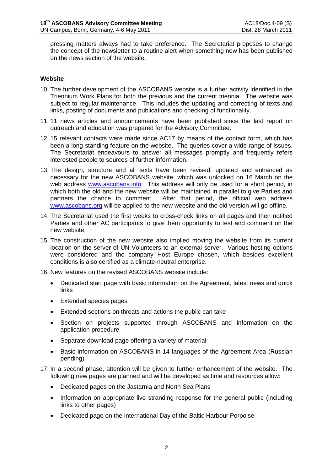pressing matters always had to take preference. The Secretariat proposes to change the concept of the newsletter to a routine alert when something new has been published on the news section of the website.

#### **Website**

- 10. The further development of the ASCOBANS website is a further activity identified in the Triennium Work Plans for both the previous and the current triennia. The website was subject to regular maintenance. This includes the updating and correcting of texts and links, posting of documents and publications and checking of functionality.
- 11. 11 news articles and announcements have been published since the last report on outreach and education was prepared for the Advisory Committee.
- 12. 15 relevant contacts were made since AC17 by means of the contact form, which has been a long-standing feature on the website. The queries cover a wide range of issues. The Secretariat endeavours to answer all messages promptly and frequently refers interested people to sources of further information.
- 13. The design, structure and all texts have been revised, updated and enhanced as necessary for the new ASCOBANS website, which was unlocked on 16 March on the web address [www.ascobans.info.](http://www.ascobans.info/) This address will only be used for a short period, in which both the old and the new website will be maintained in parallel to give Parties and partners the chance to comment. After that period, the official web address [www.ascobans.org](http://www.ascobans.org/) will be applied to the new website and the old version will go offline.
- 14. The Secretariat used the first weeks to cross-check links on all pages and then notified Parties and other AC participants to give them opportunity to test and comment on the new website.
- 15. The construction of the new website also implied moving the website from its current location on the server of UN Volunteers to an external server. Various hosting options were considered and the company Host Europe chosen, which besides excellent conditions is also certified as a climate-neutral enterprise.
- 16. New features on the revised ASCOBANS website include:
	- Dedicated start page with basic information on the Agreement, latest news and quick links
	- Extended species pages
	- Extended sections on threats and actions the public can take
	- Section on projects supported through ASCOBANS and information on the application procedure
	- Separate download page offering a variety of material
	- Basic information on ASCOBANS in 14 languages of the Agreement Area (Russian pending)
- 17. In a second phase, attention will be given to further enhancement of the website. The following new pages are planned and will be developed as time and resources allow:
	- Dedicated pages on the Jastarnia and North Sea Plans
	- Information on appropriate live stranding response for the general public (including links to other pages)
	- Dedicated page on the International Day of the Baltic Harbour Porpoise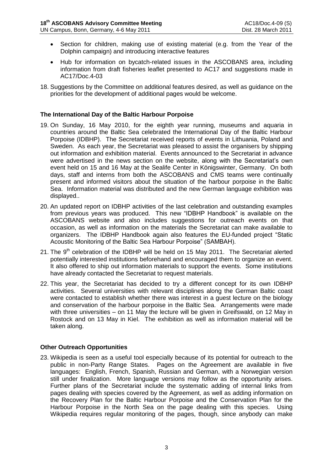- Section for children, making use of existing material (e.g. from the Year of the Dolphin campaign) and introducing interactive features
- Hub for information on bycatch-related issues in the ASCOBANS area, including information from draft fisheries leaflet presented to AC17 and suggestions made in AC17/Doc.4-03
- 18. Suggestions by the Committee on additional features desired, as well as guidance on the priorities for the development of additional pages would be welcome.

### **The International Day of the Baltic Harbour Porpoise**

- 19. On Sunday, 16 May 2010, for the eighth year running, museums and aquaria in countries around the Baltic Sea celebrated the International Day of the Baltic Harbour Porpoise (IDBHP). The Secretariat received reports of events in Lithuania, Poland and Sweden. As each year, the Secretariat was pleased to assist the organisers by shipping out information and exhibition material. Events announced to the Secretariat in advance were advertised in the news section on the website, along with the Secretariat's own event held on 15 and 16 May at the Sealife Center in Königswinter, Germany. On both days, staff and interns from both the ASCOBANS and CMS teams were continually present and informed visitors about the situation of the harbour porpoise in the Baltic Sea. Information material was distributed and the new German language exhibition was displayed..
- 20. An updated report on IDBHP activities of the last celebration and outstanding examples from previous years was produced. This new "IDBHP Handbook" is available on the ASCOBANS website and also includes suggestions for outreach events on that occasion, as well as information on the materials the Secretariat can make available to organizers. The IDBHP Handbook again also features the EU-funded project "Static Acoustic Monitoring of the Baltic Sea Harbour Porpoise" (SAMBAH).
- 21. The  $9<sup>th</sup>$  celebration of the IDBHP will be held on 15 May 2011. The Secretariat alerted potentially interested institutions beforehand and encouraged them to organize an event. It also offered to ship out information materials to support the events. Some institutions have already contacted the Secretariat to request materials.
- 22. This year, the Secretariat has decided to try a different concept for its own IDBHP activities. Several universities with relevant disciplines along the German Baltic coast were contacted to establish whether there was interest in a guest lecture on the biology and conservation of the harbour porpoise in the Baltic Sea. Arrangements were made with three universities – on 11 May the lecture will be given in Greifswald, on 12 May in Rostock and on 13 May in Kiel. The exhibition as well as information material will be taken along.

#### **Other Outreach Opportunities**

23. Wikipedia is seen as a useful tool especially because of its potential for outreach to the public in non-Party Range States. Pages on the Agreement are available in five languages: English, French, Spanish, Russian and German, with a Norwegian version still under finalization. More language versions may follow as the opportunity arises. Further plans of the Secretariat include the systematic adding of internal links from pages dealing with species covered by the Agreement, as well as adding information on the Recovery Plan for the Baltic Harbour Porpoise and the Conservation Plan for the Harbour Porpoise in the North Sea on the page dealing with this species. Using Wikipedia requires regular monitoring of the pages, though, since anybody can make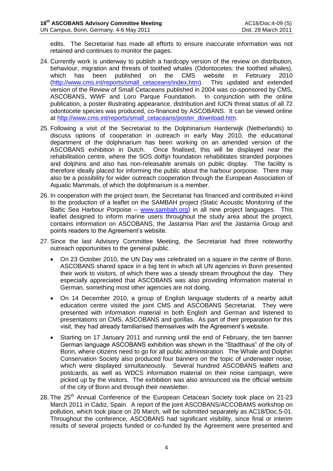edits. The Secretariat has made all efforts to ensure inaccurate information was not retained and continues to monitor the pages.

- 24. Currently work is underway to publish a hardcopy version of the review on distribution, behaviour, migration and threats of toothed whales (Odontocetes: the toothed whales), which has been published on the CMS website in February 2010 which has been published on the CMS website in February 2010<br>(http://www.cms.int/reports/small cetaceans/index.htm). This updated and extended [\(http://www.cms.int/reports/small\\_cetaceans/index.htm\)](http://www.cms.int/reports/small_cetaceans/index.htm). version of the Review of Small Cetaceans published in 2004 was co-sponsored by CMS, ASCOBANS, WWF and Loro Parque Foundation. In conjunction with the online publication, a poster illustrating appearance, distribution and IUCN threat status of all 72 odontocete species was produced, co-financed by ASCOBANS. It can be viewed online at [http://www.cms.int/reports/small\\_cetaceans/poster\\_download.htm.](http://www.cms.int/reports/small_cetaceans/poster_download.htm)
- 25. Following a visit of the Secretariat to the Dolphinarium Harderwijk (Netherlands) to discuss options of cooperation in outreach in early May 2010, the educational department of the dolphinarium has been working on an amended version of the ASCOBANS exhibition in Dutch. Once finalised, this will be displayed near the rehabilitation centre, where the SOS dolfijn foundation rehabilitates stranded porpoises and dolphins and also has non-releasable animals on public display. The facility is therefore ideally placed for informing the public about the harbour porpoise. There may also be a possibility for wider outreach cooperation through the European Association of Aquatic Mammals, of which the dolphinarium is a member.
- 26. In cooperation with the project team, the Secretariat has financed and contributed in-kind to the production of a leaflet on the SAMBAH project (Static Acoustic Monitoring of the Baltic Sea Harbour Porpoise – [www.sambah.org\)](http://www.sambah.org/) in all nine project languages. This leaflet designed to inform marine users throughout the study area about the project, contains information on ASCOBANS, the Jastarnia Plan and the Jastarnia Group and points readers to the Agreement's website.
- 27. Since the last Advisory Committee Meeting, the Secretariat had three noteworthy outreach opportunities to the general public.
	- On 23 October 2010, the UN Day was celebrated on a square in the centre of Bonn. ASCOBANS shared space in a big tent in which all UN agencies in Bonn presented their work to visitors, of which there was a steady stream throughout the day. They especially appreciated that ASCOBANS was also providing information material in German, something most other agencies are not doing.
	- On 14 December 2010, a group of English language students of a nearby adult education centre visited the joint CMS and ASCOBANS Secretariat. They were presented with information material in both English and German and listened to presentations on CMS, ASCOBANS and gorillas. As part of their preparation for this visit, they had already familiarised themselves with the Agreement's website.
	- Starting on 17 January 2011 and running until the end of February, the ten banner German language ASCOBANS exhibition was shown in the "Stadthaus" of the city of Bonn, where citizens need to go for all public administration. The Whale and Dolphin Conservation Society also produced four banners on the topic of underwater noise, which were displayed simultaneously. Several hundred ASCOBANS leaflets and postcards, as well as WDCS information material on their noise campaign, were picked up by the visitors. The exhibition was also announced via the official website of the city of Bonn and through their newsletter.
- 28. The 25<sup>th</sup> Annual Conference of the European Cetacean Society took place on 21-23 March 2011 in Cádiz, Spain. A report of the joint ASCOBANS/ACCOBAMS workshop on pollution, which took place on 20 March, will be submitted separately as AC18/Doc.5-01. Throughout the conference, ASCOBANS had significant visibility, since final or interim results of several projects funded or co-funded by the Agreement were presented and